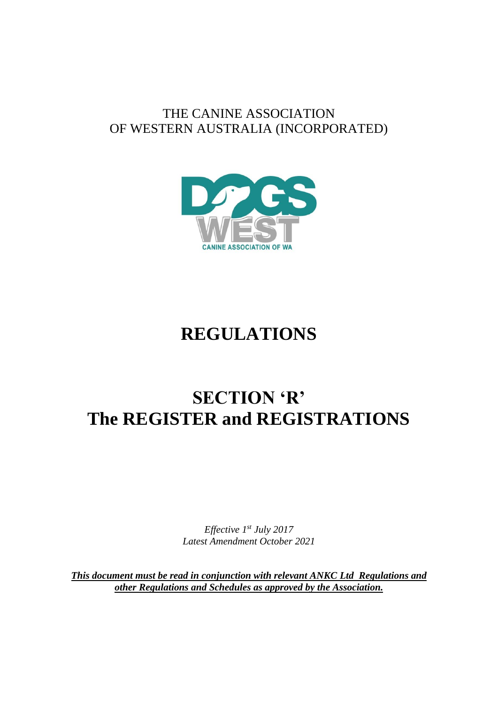# THE CANINE ASSOCIATION OF WESTERN AUSTRALIA (INCORPORATED)



# **REGULATIONS**

# **SECTION 'R' The REGISTER and REGISTRATIONS**

*Effective 1 st July 2017 Latest Amendment October 2021*

*This document must be read in conjunction with relevant ANKC Ltd Regulations and other Regulations and Schedules as approved by the Association.*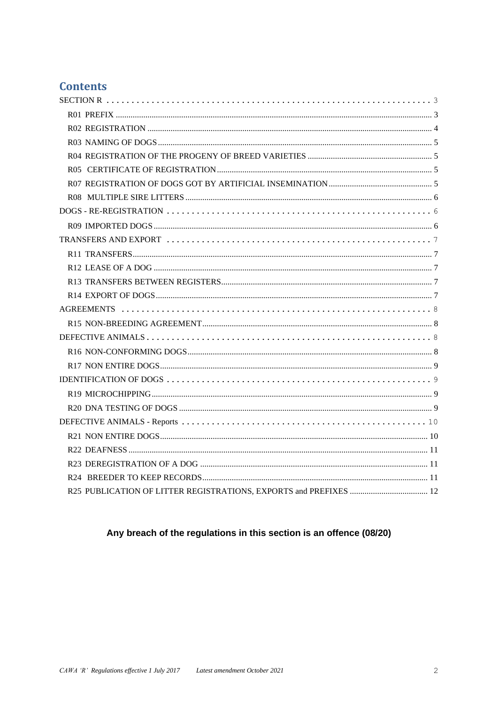# **Contents**

# Any breach of the regulations in this section is an offence (08/20)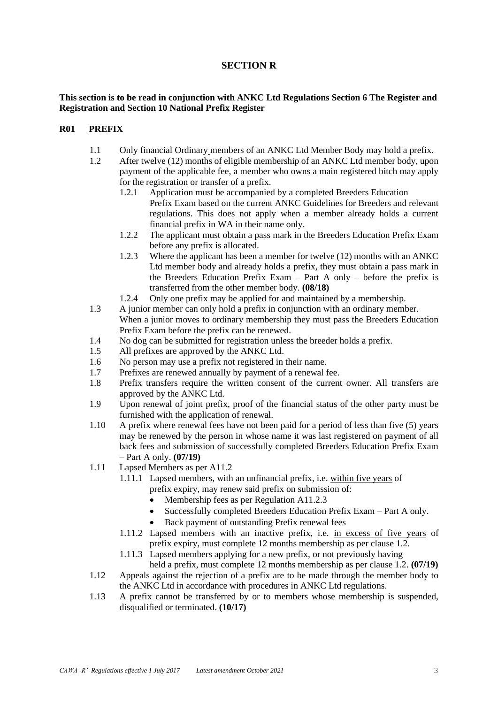# **SECTION R**

#### <span id="page-2-0"></span>**This section is to be read in conjunction with ANKC Ltd Regulations Section 6 The Register and Registration and Section 10 National Prefix Register**

#### <span id="page-2-1"></span>**R01 PREFIX**

- 1.1 Only financial Ordinary members of an ANKC Ltd Member Body may hold a prefix.
- 1.2 After twelve (12) months of eligible membership of an ANKC Ltd member body, upon payment of the applicable fee, a member who owns a main registered bitch may apply for the registration or transfer of a prefix.
	- 1.2.1 Application must be accompanied by a completed Breeders Education Prefix Exam based on the current ANKC Guidelines for Breeders and relevant regulations. This does not apply when a member already holds a current financial prefix in WA in their name only.
	- 1.2.2 The applicant must obtain a pass mark in the Breeders Education Prefix Exam before any prefix is allocated.
	- 1.2.3 Where the applicant has been a member for twelve (12) months with an ANKC Ltd member body and already holds a prefix, they must obtain a pass mark in the Breeders Education Prefix Exam – Part A only – before the prefix is transferred from the other member body. **(08/18)**
	- 1.2.4 Only one prefix may be applied for and maintained by a membership.
- 1.3 A junior member can only hold a prefix in conjunction with an ordinary member. When a junior moves to ordinary membership they must pass the Breeders Education Prefix Exam before the prefix can be renewed.
- 1.4 No dog can be submitted for registration unless the breeder holds a prefix.
- 1.5 All prefixes are approved by the ANKC Ltd.
- 1.6 No person may use a prefix not registered in their name.
- 1.7 Prefixes are renewed annually by payment of a renewal fee.
- 1.8 Prefix transfers require the written consent of the current owner. All transfers are approved by the ANKC Ltd.
- 1.9 Upon renewal of joint prefix, proof of the financial status of the other party must be furnished with the application of renewal.
- 1.10 A prefix where renewal fees have not been paid for a period of less than five (5) years may be renewed by the person in whose name it was last registered on payment of all back fees and submission of successfully completed Breeders Education Prefix Exam – Part A only. **(07/19)**
- 1.11 Lapsed Members as per A11.2
	- 1.11.1 Lapsed members, with an unfinancial prefix, i.e. within five years of prefix expiry, may renew said prefix on submission of:
		- Membership fees as per Regulation A11.2.3
		- Successfully completed Breeders Education Prefix Exam Part A only.
		- Back payment of outstanding Prefix renewal fees
		- 1.11.2 Lapsed members with an inactive prefix, i.e. in excess of five years of prefix expiry, must complete 12 months membership as per clause 1.2.
	- 1.11.3 Lapsed members applying for a new prefix, or not previously having held a prefix, must complete 12 months membership as per clause 1.2. **(07/19)**
- 1.12 Appeals against the rejection of a prefix are to be made through the member body to the ANKC Ltd in accordance with procedures in ANKC Ltd regulations.
- 1.13 A prefix cannot be transferred by or to members whose membership is suspended, disqualified or terminated. **(10/17)**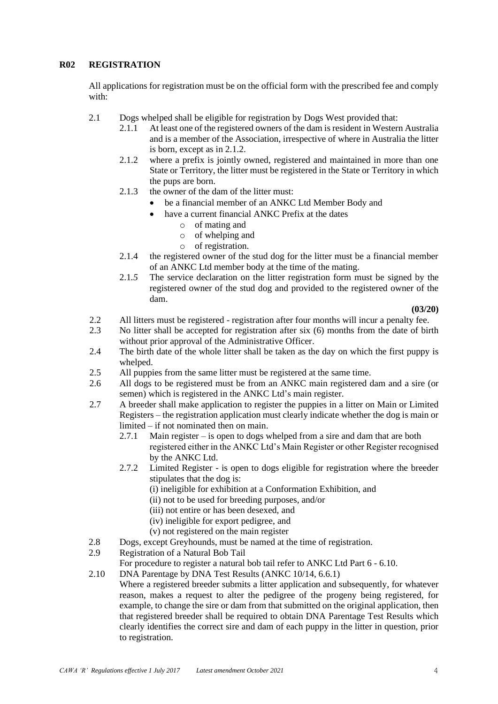# <span id="page-3-0"></span>**R02 REGISTRATION**

All applications for registration must be on the official form with the prescribed fee and comply with:

- 2.1 Dogs whelped shall be eligible for registration by Dogs West provided that:
	- 2.1.1 At least one of the registered owners of the dam is resident in Western Australia and is a member of the Association, irrespective of where in Australia the litter is born, except as in 2.1.2.
	- 2.1.2 where a prefix is jointly owned, registered and maintained in more than one State or Territory, the litter must be registered in the State or Territory in which the pups are born.
	- 2.1.3 the owner of the dam of the litter must:
		- be a financial member of an ANKC Ltd Member Body and
		- have a current financial ANKC Prefix at the dates
			- o of mating and
			- o of whelping and
			- o of registration.
	- 2.1.4 the registered owner of the stud dog for the litter must be a financial member of an ANKC Ltd member body at the time of the mating.
	- 2.1*.5* The service declaration on the litter registration form must be signed by the registered owner of the stud dog and provided to the registered owner of the dam.

**(03/20)**

- 2.2 All litters must be registered registration after four months will incur a penalty fee.
- 2.3 No litter shall be accepted for registration after six (6) months from the date of birth without prior approval of the Administrative Officer.
- 2.4 The birth date of the whole litter shall be taken as the day on which the first puppy is whelped.
- 2.5 All puppies from the same litter must be registered at the same time.
- 2.6 All dogs to be registered must be from an ANKC main registered dam and a sire (or semen) which is registered in the ANKC Ltd's main register.
- 2.7 A breeder shall make application to register the puppies in a litter on Main or Limited Registers – the registration application must clearly indicate whether the dog is main or limited – if not nominated then on main.
	- 2.7.1 Main register is open to dogs whelped from a sire and dam that are both registered either in the ANKC Ltd's Main Register or other Register recognised by the ANKC Ltd.
	- 2.7.2 Limited Register is open to dogs eligible for registration where the breeder stipulates that the dog is:
		- (i) ineligible for exhibition at a Conformation Exhibition, and
		- (ii) not to be used for breeding purposes, and/or
		- (iii) not entire or has been desexed, and
		- (iv) ineligible for export pedigree, and
		- (v) not registered on the main register
- 2.8 Dogs, except Greyhounds, must be named at the time of registration.
- 2.9 Registration of a Natural Bob Tail
	- For procedure to register a natural bob tail refer to ANKC Ltd Part 6 6.10.
- 2.10 DNA Parentage by DNA Test Results (ANKC 10/14, 6.6.1) Where a registered breeder submits a litter application and subsequently, for whatever reason, makes a request to alter the pedigree of the progeny being registered, for example, to change the sire or dam from that submitted on the original application, then that registered breeder shall be required to obtain DNA Parentage Test Results which clearly identifies the correct sire and dam of each puppy in the litter in question, prior

to registration.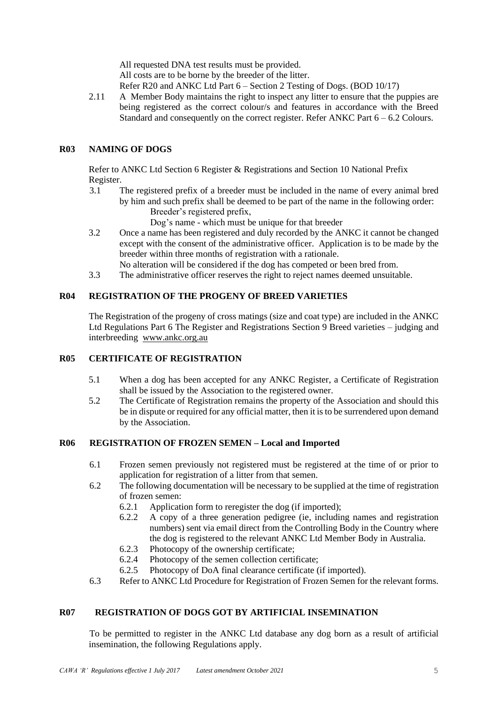All requested DNA test results must be provided.

All costs are to be borne by the breeder of the litter.

Refer R20 and ANKC Ltd Part 6 – Section 2 Testing of Dogs. (BOD 10/17)

2.11 A Member Body maintains the right to inspect any litter to ensure that the puppies are being registered as the correct colour/s and features in accordance with the Breed Standard and consequently on the correct register. Refer ANKC Part 6 – 6.2 Colours.

# <span id="page-4-0"></span>**R03 NAMING OF DOGS**

Refer to ANKC Ltd Section 6 Register & Registrations and Section 10 National Prefix Register.

3.1 The registered prefix of a breeder must be included in the name of every animal bred by him and such prefix shall be deemed to be part of the name in the following order: Breeder's registered prefix,

Dog's name - which must be unique for that breeder

- 3.2 Once a name has been registered and duly recorded by the ANKC it cannot be changed except with the consent of the administrative officer. Application is to be made by the breeder within three months of registration with a rationale.
	- No alteration will be considered if the dog has competed or been bred from.
- 3.3 The administrative officer reserves the right to reject names deemed unsuitable.

# <span id="page-4-1"></span>**R04 REGISTRATION OF THE PROGENY OF BREED VARIETIES**

The Registration of the progeny of cross matings (size and coat type) are included in the ANKC Ltd Regulations Part 6 The Register and Registrations Section 9 Breed varieties – judging and interbreeding [www.ankc.org.au](http://www.ankc.org.au/)

#### <span id="page-4-2"></span>**R05 CERTIFICATE OF REGISTRATION**

- 5.1 When a dog has been accepted for any ANKC Register, a Certificate of Registration shall be issued by the Association to the registered owner.
- 5.2 The Certificate of Registration remains the property of the Association and should this be in dispute or required for any official matter, then it is to be surrendered upon demand by the Association.

#### **R06 REGISTRATION OF FROZEN SEMEN – Local and Imported**

- 6.1 Frozen semen previously not registered must be registered at the time of or prior to application for registration of a litter from that semen.
- 6.2 The following documentation will be necessary to be supplied at the time of registration of frozen semen:
	- 6.2.1 Application form to reregister the dog (if imported);
	- 6.2.2 A copy of a three generation pedigree (ie, including names and registration numbers) sent via email direct from the Controlling Body in the Country where the dog is registered to the relevant ANKC Ltd Member Body in Australia.
	- 6.2.3 Photocopy of the ownership certificate;
	- 6.2.4 Photocopy of the semen collection certificate;
	- 6.2.5 Photocopy of DoA final clearance certificate (if imported).
- 6.3 Refer to ANKC Ltd Procedure for Registration of Frozen Semen for the relevant forms.

# <span id="page-4-3"></span>**R07 REGISTRATION OF DOGS GOT BY ARTIFICIAL INSEMINATION**

To be permitted to register in the ANKC Ltd database any dog born as a result of artificial insemination, the following Regulations apply.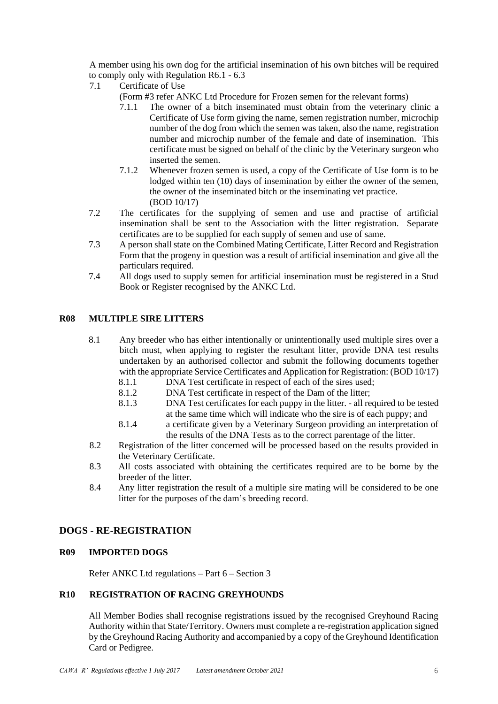A member using his own dog for the artificial insemination of his own bitches will be required to comply only with Regulation R6.1 - 6.3

- 7.1 Certificate of Use
	- (Form #3 refer ANKC Ltd Procedure for Frozen semen for the relevant forms)
	- 7.1.1 The owner of a bitch inseminated must obtain from the veterinary clinic a Certificate of Use form giving the name, semen registration number, microchip number of the dog from which the semen was taken, also the name, registration number and microchip number of the female and date of insemination. This certificate must be signed on behalf of the clinic by the Veterinary surgeon who inserted the semen.
	- 7.1.2 Whenever frozen semen is used, a copy of the Certificate of Use form is to be lodged within ten (10) days of insemination by either the owner of the semen, the owner of the inseminated bitch or the inseminating vet practice. (BOD 10/17)
- 7.2 The certificates for the supplying of semen and use and practise of artificial insemination shall be sent to the Association with the litter registration. Separate certificates are to be supplied for each supply of semen and use of same.
- 7.3 A person shall state on the Combined Mating Certificate, Litter Record and Registration Form that the progeny in question was a result of artificial insemination and give all the particulars required.
- 7.4 All dogs used to supply semen for artificial insemination must be registered in a Stud Book or Register recognised by the ANKC Ltd.

# <span id="page-5-0"></span>**R08 MULTIPLE SIRE LITTERS**

- 8.1 Any breeder who has either intentionally or unintentionally used multiple sires over a bitch must, when applying to register the resultant litter, provide DNA test results undertaken by an authorised collector and submit the following documents together with the appropriate Service Certificates and Application for Registration: (BOD 10/17)
	- 8.1.1 DNA Test certificate in respect of each of the sires used;
	- 8.1.2 DNA Test certificate in respect of the Dam of the litter;
	- 8.1.3 DNA Test certificates for each puppy in the litter. all required to be tested at the same time which will indicate who the sire is of each puppy; and
	- 8.1.4 a certificate given by a Veterinary Surgeon providing an interpretation of the results of the DNA Tests as to the correct parentage of the litter.
- 8.2 Registration of the litter concerned will be processed based on the results provided in the Veterinary Certificate.
- 8.3 All costs associated with obtaining the certificates required are to be borne by the breeder of the litter.
- 8.4 Any litter registration the result of a multiple sire mating will be considered to be one litter for the purposes of the dam's breeding record.

#### <span id="page-5-1"></span>**DOGS - RE-REGISTRATION**

#### <span id="page-5-2"></span>**R09 IMPORTED DOGS**

Refer ANKC Ltd regulations – Part 6 – Section 3

# **R10 REGISTRATION OF RACING GREYHOUNDS**

All Member Bodies shall recognise registrations issued by the recognised Greyhound Racing Authority within that State/Territory. Owners must complete a re-registration application signed by the Greyhound Racing Authority and accompanied by a copy of the Greyhound Identification Card or Pedigree.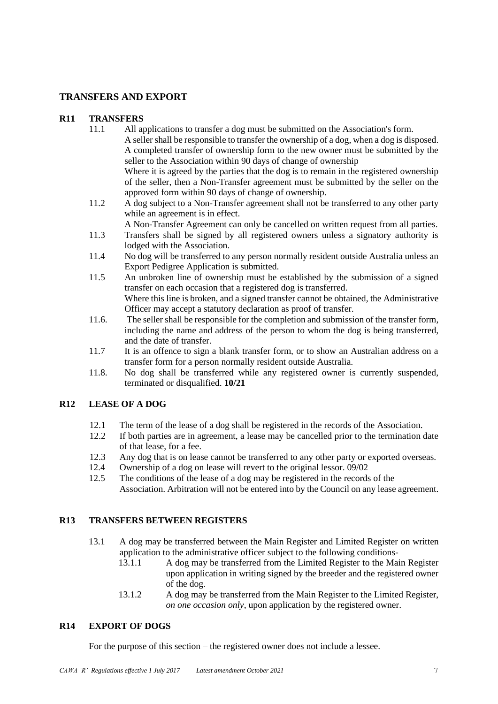# <span id="page-6-0"></span>**TRANSFERS AND EXPORT**

# <span id="page-6-1"></span>**R11 TRANSFERS**

- 11.1 All applications to transfer a dog must be submitted on the Association's form. A seller shall be responsible to transfer the ownership of a dog, when a dog is disposed. A completed transfer of ownership form to the new owner must be submitted by the seller to the Association within 90 days of change of ownership Where it is agreed by the parties that the dog is to remain in the registered ownership of the seller, then a Non-Transfer agreement must be submitted by the seller on the
- approved form within 90 days of change of ownership. 11.2 A dog subject to a Non-Transfer agreement shall not be transferred to any other party while an agreement is in effect.

A Non-Transfer Agreement can only be cancelled on written request from all parties.

- 11.3 Transfers shall be signed by all registered owners unless a signatory authority is lodged with the Association.
- 11.4 No dog will be transferred to any person normally resident outside Australia unless an Export Pedigree Application is submitted.
- 11.5 An unbroken line of ownership must be established by the submission of a signed transfer on each occasion that a registered dog is transferred. Where this line is broken, and a signed transfer cannot be obtained, the Administrative Officer may accept a statutory declaration as proof of transfer.
- 11.6. The seller shall be responsible for the completion and submission of the transfer form, including the name and address of the person to whom the dog is being transferred, and the date of transfer.
- 11.7 It is an offence to sign a blank transfer form, or to show an Australian address on a transfer form for a person normally resident outside Australia.
- 11.8. No dog shall be transferred while any registered owner is currently suspended, terminated or disqualified. **10/21**

# <span id="page-6-2"></span>**R12 LEASE OF A DOG**

- 12.1 The term of the lease of a dog shall be registered in the records of the Association.<br>12.2 If both parties are in agreement, a lease may be cancelled prior to the termination
- If both parties are in agreement, a lease may be cancelled prior to the termination date of that lease, for a fee.
- 12.3 Any dog that is on lease cannot be transferred to any other party or exported overseas.
- 12.4 Ownership of a dog on lease will revert to the original lessor. 09/02
- 12.5 The conditions of the lease of a dog may be registered in the records of the Association. Arbitration will not be entered into by the Council on any lease agreement.

# <span id="page-6-3"></span>**R13 TRANSFERS BETWEEN REGISTERS**

- 13.1 A dog may be transferred between the Main Register and Limited Register on written application to the administrative officer subject to the following conditions-
	- 13.1.1 A dog may be transferred from the Limited Register to the Main Register upon application in writing signed by the breeder and the registered owner of the dog.
	- 13.1.2 A dog may be transferred from the Main Register to the Limited Register, *on one occasion only*, upon application by the registered owner.

# <span id="page-6-4"></span>**R14 EXPORT OF DOGS**

For the purpose of this section – the registered owner does not include a lessee.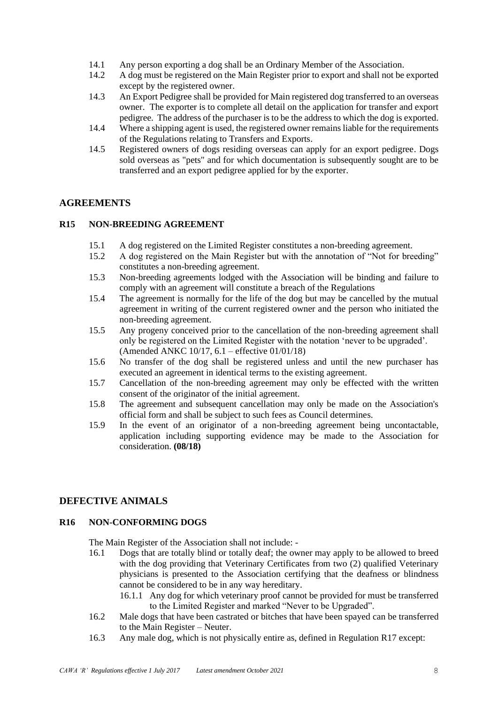- 14.1 Any person exporting a dog shall be an Ordinary Member of the Association.
- 14.2 A dog must be registered on the Main Register prior to export and shall not be exported except by the registered owner.
- 14.3 An Export Pedigree shall be provided for Main registered dog transferred to an overseas owner. The exporter is to complete all detail on the application for transfer and export pedigree. The address of the purchaser is to be the address to which the dog is exported.
- 14.4 Where a shipping agent is used, the registered owner remains liable for the requirements of the Regulations relating to Transfers and Exports.
- 14.5 Registered owners of dogs residing overseas can apply for an export pedigree. Dogs sold overseas as "pets" and for which documentation is subsequently sought are to be transferred and an export pedigree applied for by the exporter.

# <span id="page-7-0"></span>**AGREEMENTS**

# <span id="page-7-1"></span>**R15 NON-BREEDING AGREEMENT**

- 15.1 A dog registered on the Limited Register constitutes a non-breeding agreement.
- 15.2 A dog registered on the Main Register but with the annotation of "Not for breeding" constitutes a non-breeding agreement.
- 15.3 Non-breeding agreements lodged with the Association will be binding and failure to comply with an agreement will constitute a breach of the Regulations
- 15.4 The agreement is normally for the life of the dog but may be cancelled by the mutual agreement in writing of the current registered owner and the person who initiated the non-breeding agreement.
- 15.5 Any progeny conceived prior to the cancellation of the non-breeding agreement shall only be registered on the Limited Register with the notation 'never to be upgraded'. (Amended ANKC 10/17, 6.1 – effective 01/01/18)
- 15.6 No transfer of the dog shall be registered unless and until the new purchaser has executed an agreement in identical terms to the existing agreement.
- 15.7 Cancellation of the non-breeding agreement may only be effected with the written consent of the originator of the initial agreement.
- 15.8 The agreement and subsequent cancellation may only be made on the Association's official form and shall be subject to such fees as Council determines.
- 15.9 In the event of an originator of a non-breeding agreement being uncontactable, application including supporting evidence may be made to the Association for consideration. **(08/18)**

# <span id="page-7-2"></span>**DEFECTIVE ANIMALS**

#### <span id="page-7-3"></span>**R16 NON-CONFORMING DOGS**

The Main Register of the Association shall not include: -

- 16.1 Dogs that are totally blind or totally deaf; the owner may apply to be allowed to breed with the dog providing that Veterinary Certificates from two (2) qualified Veterinary physicians is presented to the Association certifying that the deafness or blindness cannot be considered to be in any way hereditary.
	- 16.1.1 Any dog for which veterinary proof cannot be provided for must be transferred to the Limited Register and marked "Never to be Upgraded".
- 16.2 Male dogs that have been castrated or bitches that have been spayed can be transferred to the Main Register – Neuter.
- 16.3 Any male dog, which is not physically entire as, defined in Regulation R17 except: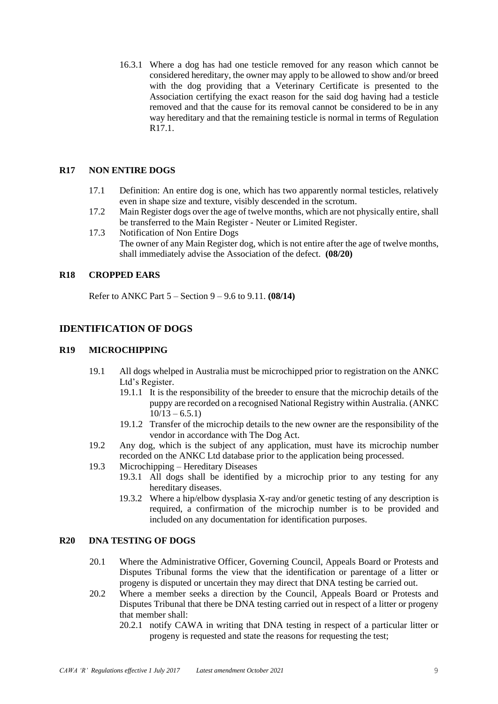16.3.1 Where a dog has had one testicle removed for any reason which cannot be considered hereditary, the owner may apply to be allowed to show and/or breed with the dog providing that a Veterinary Certificate is presented to the Association certifying the exact reason for the said dog having had a testicle removed and that the cause for its removal cannot be considered to be in any way hereditary and that the remaining testicle is normal in terms of Regulation R<sub>17.1</sub>.

#### <span id="page-8-0"></span>**R17 NON ENTIRE DOGS**

- 17.1 Definition: An entire dog is one, which has two apparently normal testicles, relatively even in shape size and texture, visibly descended in the scrotum.
- 17.2 Main Register dogs over the age of twelve months, which are not physically entire, shall be transferred to the Main Register - Neuter or Limited Register.
- 17.3 Notification of Non Entire Dogs The owner of any Main Register dog, which is not entire after the age of twelve months, shall immediately advise the Association of the defect. **(08/20)**

#### **R18 CROPPED EARS**

Refer to ANKC Part 5 – Section 9 – 9.6 to 9.11. **(08/14)**

# <span id="page-8-1"></span>**IDENTIFICATION OF DOGS**

#### <span id="page-8-2"></span>**R19 MICROCHIPPING**

- 19.1 All dogs whelped in Australia must be microchipped prior to registration on the ANKC Ltd's Register.
	- 19.1.1 It is the responsibility of the breeder to ensure that the microchip details of the puppy are recorded on a recognised National Registry within Australia. (ANKC  $10/13 - 6.5.1$
	- 19.1.2 Transfer of the microchip details to the new owner are the responsibility of the vendor in accordance with The Dog Act.
- 19.2 Any dog, which is the subject of any application, must have its microchip number recorded on the ANKC Ltd database prior to the application being processed.
- 19.3 Microchipping Hereditary Diseases
	- 19.3.1 All dogs shall be identified by a microchip prior to any testing for any hereditary diseases.
	- 19.3.2 Where a hip/elbow dysplasia X-ray and/or genetic testing of any description is required, a confirmation of the microchip number is to be provided and included on any documentation for identification purposes.

#### <span id="page-8-3"></span>**R20 DNA TESTING OF DOGS**

- 20.1 Where the Administrative Officer, Governing Council, Appeals Board or Protests and Disputes Tribunal forms the view that the identification or parentage of a litter or progeny is disputed or uncertain they may direct that DNA testing be carried out.
- 20.2 Where a member seeks a direction by the Council, Appeals Board or Protests and Disputes Tribunal that there be DNA testing carried out in respect of a litter or progeny that member shall:
	- 20.2.1 notify CAWA in writing that DNA testing in respect of a particular litter or progeny is requested and state the reasons for requesting the test;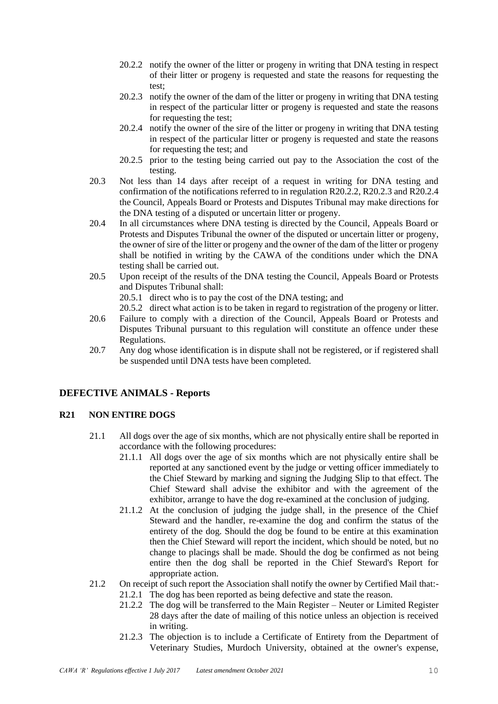- 20.2.2 notify the owner of the litter or progeny in writing that DNA testing in respect of their litter or progeny is requested and state the reasons for requesting the test;
- 20.2.3 notify the owner of the dam of the litter or progeny in writing that DNA testing in respect of the particular litter or progeny is requested and state the reasons for requesting the test;
- 20.2.4 notify the owner of the sire of the litter or progeny in writing that DNA testing in respect of the particular litter or progeny is requested and state the reasons for requesting the test; and
- 20.2.5 prior to the testing being carried out pay to the Association the cost of the testing.
- 20.3 Not less than 14 days after receipt of a request in writing for DNA testing and confirmation of the notifications referred to in regulation R20.2.2, R20.2.3 and R20.2.4 the Council, Appeals Board or Protests and Disputes Tribunal may make directions for the DNA testing of a disputed or uncertain litter or progeny.
- 20.4 In all circumstances where DNA testing is directed by the Council, Appeals Board or Protests and Disputes Tribunal the owner of the disputed or uncertain litter or progeny, the owner of sire of the litter or progeny and the owner of the dam of the litter or progeny shall be notified in writing by the CAWA of the conditions under which the DNA testing shall be carried out.
- 20.5 Upon receipt of the results of the DNA testing the Council, Appeals Board or Protests and Disputes Tribunal shall:

20.5.1 direct who is to pay the cost of the DNA testing; and

20.5.2 direct what action is to be taken in regard to registration of the progeny or litter.

- 20.6 Failure to comply with a direction of the Council, Appeals Board or Protests and Disputes Tribunal pursuant to this regulation will constitute an offence under these Regulations.
- 20.7 Any dog whose identification is in dispute shall not be registered, or if registered shall be suspended until DNA tests have been completed.

# <span id="page-9-0"></span>**DEFECTIVE ANIMALS - Reports**

# <span id="page-9-1"></span>**R21 NON ENTIRE DOGS**

- 21.1 All dogs over the age of six months, which are not physically entire shall be reported in accordance with the following procedures:
	- 21.1.1 All dogs over the age of six months which are not physically entire shall be reported at any sanctioned event by the judge or vetting officer immediately to the Chief Steward by marking and signing the Judging Slip to that effect. The Chief Steward shall advise the exhibitor and with the agreement of the exhibitor, arrange to have the dog re-examined at the conclusion of judging.
	- 21.1.2 At the conclusion of judging the judge shall, in the presence of the Chief Steward and the handler, re-examine the dog and confirm the status of the entirety of the dog. Should the dog be found to be entire at this examination then the Chief Steward will report the incident, which should be noted, but no change to placings shall be made. Should the dog be confirmed as not being entire then the dog shall be reported in the Chief Steward's Report for appropriate action.
- 21.2 On receipt of such report the Association shall notify the owner by Certified Mail that:-
	- 21.2.1 The dog has been reported as being defective and state the reason.
		- 21.2.2 The dog will be transferred to the Main Register Neuter or Limited Register 28 days after the date of mailing of this notice unless an objection is received in writing.
		- 21.2.3 The objection is to include a Certificate of Entirety from the Department of Veterinary Studies, Murdoch University, obtained at the owner's expense,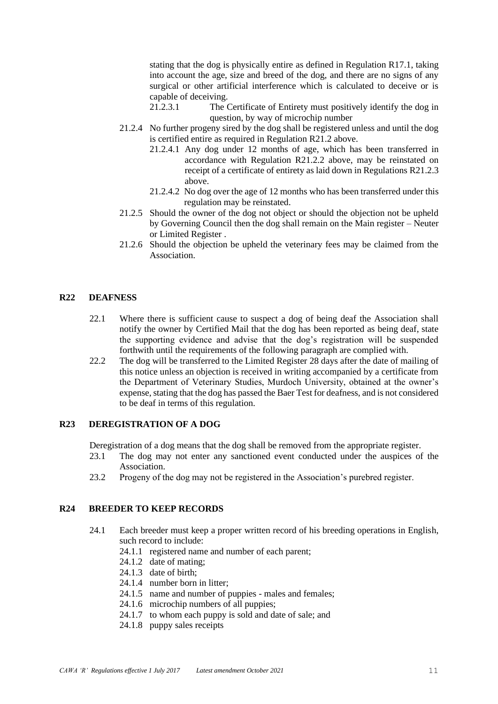stating that the dog is physically entire as defined in Regulation R17.1, taking into account the age, size and breed of the dog, and there are no signs of any surgical or other artificial interference which is calculated to deceive or is capable of deceiving.<br>21.2.3.1 The C

- The Certificate of Entirety must positively identify the dog in question, by way of microchip number
- 21.2.4 No further progeny sired by the dog shall be registered unless and until the dog is certified entire as required in Regulation R21.2 above.
	- 21.2.4.1 Any dog under 12 months of age, which has been transferred in accordance with Regulation R21.2.2 above, may be reinstated on receipt of a certificate of entirety as laid down in Regulations R21.2.3 above.
	- 21.2.4.2 No dog over the age of 12 months who has been transferred under this regulation may be reinstated.
- 21.2.5 Should the owner of the dog not object or should the objection not be upheld by Governing Council then the dog shall remain on the Main register – Neuter or Limited Register .
- 21.2.6 Should the objection be upheld the veterinary fees may be claimed from the Association.

# <span id="page-10-0"></span>**R22 DEAFNESS**

- 22.1 Where there is sufficient cause to suspect a dog of being deaf the Association shall notify the owner by Certified Mail that the dog has been reported as being deaf, state the supporting evidence and advise that the dog's registration will be suspended forthwith until the requirements of the following paragraph are complied with.
- 22.2 The dog will be transferred to the Limited Register 28 days after the date of mailing of this notice unless an objection is received in writing accompanied by a certificate from the Department of Veterinary Studies, Murdoch University, obtained at the owner's expense, stating that the dog has passed the Baer Test for deafness, and is not considered to be deaf in terms of this regulation.

# <span id="page-10-1"></span>**R23 DEREGISTRATION OF A DOG**

Deregistration of a dog means that the dog shall be removed from the appropriate register.

- 23.1 The dog may not enter any sanctioned event conducted under the auspices of the Association.
- 23.2 Progeny of the dog may not be registered in the Association's purebred register.

#### <span id="page-10-2"></span>**R24 BREEDER TO KEEP RECORDS**

- 24.1 Each breeder must keep a proper written record of his breeding operations in English, such record to include:
	- 24.1.1 registered name and number of each parent;
	- 24.1.2 date of mating;
	- 24.1.3 date of birth;
	- 24.1.4 number born in litter;
	- 24.1.5 name and number of puppies males and females;
	- 24.1.6 microchip numbers of all puppies;
	- 24.1.7 to whom each puppy is sold and date of sale; and
	- 24.1.8 puppy sales receipts